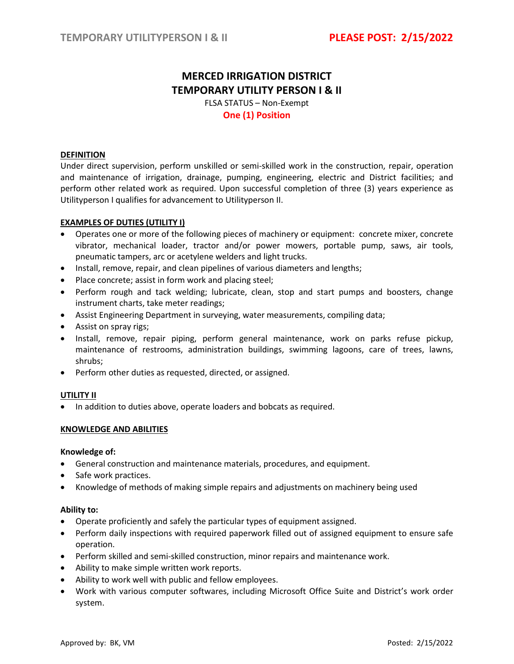# **MERCED IRRIGATION DISTRICT TEMPORARY UTILITY PERSON I & II**

FLSA STATUS – Non-Exempt **One (1) Position**

## **DEFINITION**

Under direct supervision, perform unskilled or semi-skilled work in the construction, repair, operation and maintenance of irrigation, drainage, pumping, engineering, electric and District facilities; and perform other related work as required. Upon successful completion of three (3) years experience as Utilityperson I qualifies for advancement to Utilityperson II.

# **EXAMPLES OF DUTIES (UTILITY I)**

- Operates one or more of the following pieces of machinery or equipment: concrete mixer, concrete vibrator, mechanical loader, tractor and/or power mowers, portable pump, saws, air tools, pneumatic tampers, arc or acetylene welders and light trucks.
- Install, remove, repair, and clean pipelines of various diameters and lengths;
- Place concrete; assist in form work and placing steel;
- Perform rough and tack welding; lubricate, clean, stop and start pumps and boosters, change instrument charts, take meter readings;
- Assist Engineering Department in surveying, water measurements, compiling data;
- Assist on spray rigs;
- Install, remove, repair piping, perform general maintenance, work on parks refuse pickup, maintenance of restrooms, administration buildings, swimming lagoons, care of trees, lawns, shrubs;
- Perform other duties as requested, directed, or assigned.

### **UTILITY II**

• In addition to duties above, operate loaders and bobcats as required.

### **KNOWLEDGE AND ABILITIES**

### **Knowledge of:**

- General construction and maintenance materials, procedures, and equipment.
- Safe work practices.
- Knowledge of methods of making simple repairs and adjustments on machinery being used

### **Ability to:**

- Operate proficiently and safely the particular types of equipment assigned.
- Perform daily inspections with required paperwork filled out of assigned equipment to ensure safe operation.
- Perform skilled and semi-skilled construction, minor repairs and maintenance work.
- Ability to make simple written work reports.
- Ability to work well with public and fellow employees.
- Work with various computer softwares, including Microsoft Office Suite and District's work order system.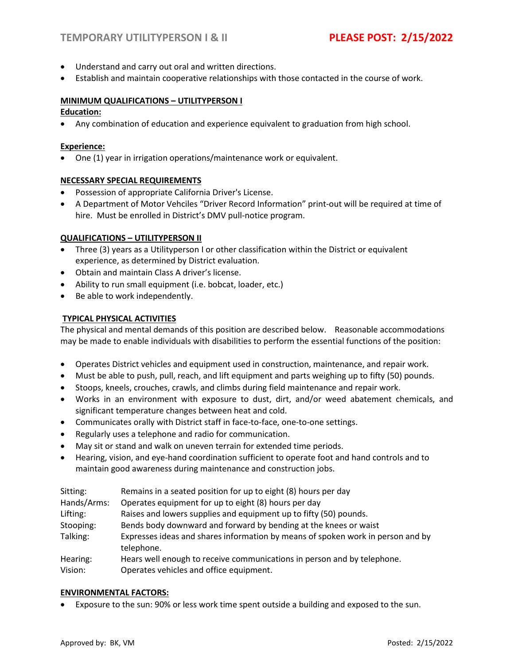- Understand and carry out oral and written directions.
- Establish and maintain cooperative relationships with those contacted in the course of work.

# **MINIMUM QUALIFICATIONS – UTILITYPERSON I**

## **Education:**

• Any combination of education and experience equivalent to graduation from high school.

## **Experience:**

• One (1) year in irrigation operations/maintenance work or equivalent.

## **NECESSARY SPECIAL REQUIREMENTS**

- Possession of appropriate California Driver's License.
- A Department of Motor Vehciles "Driver Record Information" print-out will be required at time of hire. Must be enrolled in District's DMV pull-notice program.

# **QUALIFICATIONS – UTILITYPERSON II**

- Three (3) years as a Utilityperson I or other classification within the District or equivalent experience, as determined by District evaluation.
- Obtain and maintain Class A driver's license.
- Ability to run small equipment (i.e. bobcat, loader, etc.)
- Be able to work independently.

# **TYPICAL PHYSICAL ACTIVITIES**

The physical and mental demands of this position are described below. Reasonable accommodations may be made to enable individuals with disabilities to perform the essential functions of the position:

- Operates District vehicles and equipment used in construction, maintenance, and repair work.
- Must be able to push, pull, reach, and lift equipment and parts weighing up to fifty (50) pounds.
- Stoops, kneels, crouches, crawls, and climbs during field maintenance and repair work.
- Works in an environment with exposure to dust, dirt, and/or weed abatement chemicals, and significant temperature changes between heat and cold.
- Communicates orally with District staff in face-to-face, one-to-one settings.
- Regularly uses a telephone and radio for communication.
- May sit or stand and walk on uneven terrain for extended time periods.
- Hearing, vision, and eye-hand coordination sufficient to operate foot and hand controls and to maintain good awareness during maintenance and construction jobs.

| Sitting:    | Remains in a seated position for up to eight (8) hours per day                                |  |
|-------------|-----------------------------------------------------------------------------------------------|--|
| Hands/Arms: | Operates equipment for up to eight (8) hours per day                                          |  |
| Lifting:    | Raises and lowers supplies and equipment up to fifty (50) pounds.                             |  |
| Stooping:   | Bends body downward and forward by bending at the knees or waist                              |  |
| Talking:    | Expresses ideas and shares information by means of spoken work in person and by<br>telephone. |  |
| Hearing:    | Hears well enough to receive communications in person and by telephone.                       |  |
| Vision:     | Operates vehicles and office equipment.                                                       |  |

# **ENVIRONMENTAL FACTORS:**

• Exposure to the sun: 90% or less work time spent outside a building and exposed to the sun.